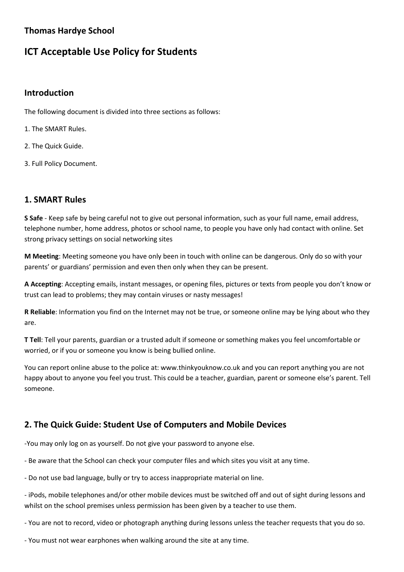### **Thomas Hardye School**

# **ICT Acceptable Use Policy for Students**

#### **Introduction**

The following document is divided into three sections as follows:

- 1. The SMART Rules.
- 2. The Quick Guide.
- 3. Full Policy Document.

### **1. SMART Rules**

**S Safe** - Keep safe by being careful not to give out personal information, such as your full name, email address, telephone number, home address, photos or school name, to people you have only had contact with online. Set strong privacy settings on social networking sites

**M Meeting**: Meeting someone you have only been in touch with online can be dangerous. Only do so with your parents' or guardians' permission and even then only when they can be present.

**A Accepting**: Accepting emails, instant messages, or opening files, pictures or texts from people you don't know or trust can lead to problems; they may contain viruses or nasty messages!

**R Reliable**: Information you find on the Internet may not be true, or someone online may be lying about who they are.

**T Tell**: Tell your parents, guardian or a trusted adult if someone or something makes you feel uncomfortable or worried, or if you or someone you know is being bullied online.

You can report online abuse to the police at: www.thinkyouknow.co.uk and you can report anything you are not happy about to anyone you feel you trust. This could be a teacher, guardian, parent or someone else's parent. Tell someone.

## **2. The Quick Guide: Student Use of Computers and Mobile Devices**

-You may only log on as yourself. Do not give your password to anyone else.

- Be aware that the School can check your computer files and which sites you visit at any time.

- Do not use bad language, bully or try to access inappropriate material on line.

- iPods, mobile telephones and/or other mobile devices must be switched off and out of sight during lessons and whilst on the school premises unless permission has been given by a teacher to use them.

- You are not to record, video or photograph anything during lessons unless the teacher requests that you do so.

- You must not wear earphones when walking around the site at any time.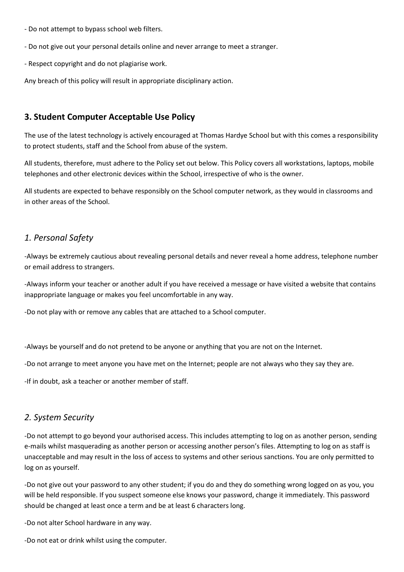- Do not attempt to bypass school web filters.
- Do not give out your personal details online and never arrange to meet a stranger.
- Respect copyright and do not plagiarise work.

Any breach of this policy will result in appropriate disciplinary action.

#### **3. Student Computer Acceptable Use Policy**

The use of the latest technology is actively encouraged at Thomas Hardye School but with this comes a responsibility to protect students, staff and the School from abuse of the system.

All students, therefore, must adhere to the Policy set out below. This Policy covers all workstations, laptops, mobile telephones and other electronic devices within the School, irrespective of who is the owner.

All students are expected to behave responsibly on the School computer network, as they would in classrooms and in other areas of the School.

#### *1. Personal Safety*

-Always be extremely cautious about revealing personal details and never reveal a home address, telephone number or email address to strangers.

-Always inform your teacher or another adult if you have received a message or have visited a website that contains inappropriate language or makes you feel uncomfortable in any way.

-Do not play with or remove any cables that are attached to a School computer.

-Always be yourself and do not pretend to be anyone or anything that you are not on the Internet.

-Do not arrange to meet anyone you have met on the Internet; people are not always who they say they are.

-If in doubt, ask a teacher or another member of staff.

#### *2. System Security*

-Do not attempt to go beyond your authorised access. This includes attempting to log on as another person, sending e-mails whilst masquerading as another person or accessing another person's files. Attempting to log on as staff is unacceptable and may result in the loss of access to systems and other serious sanctions. You are only permitted to log on as yourself.

-Do not give out your password to any other student; if you do and they do something wrong logged on as you, you will be held responsible. If you suspect someone else knows your password, change it immediately. This password should be changed at least once a term and be at least 6 characters long.

-Do not alter School hardware in any way.

-Do not eat or drink whilst using the computer.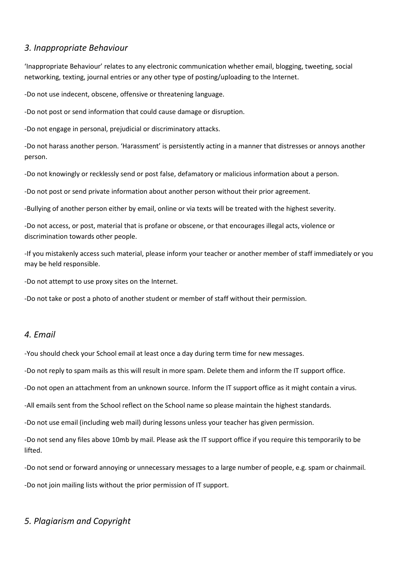#### *3. Inappropriate Behaviour*

'Inappropriate Behaviour' relates to any electronic communication whether email, blogging, tweeting, social networking, texting, journal entries or any other type of posting/uploading to the Internet.

-Do not use indecent, obscene, offensive or threatening language.

-Do not post or send information that could cause damage or disruption.

-Do not engage in personal, prejudicial or discriminatory attacks.

-Do not harass another person. 'Harassment' is persistently acting in a manner that distresses or annoys another person.

-Do not knowingly or recklessly send or post false, defamatory or malicious information about a person.

-Do not post or send private information about another person without their prior agreement.

-Bullying of another person either by email, online or via texts will be treated with the highest severity.

-Do not access, or post, material that is profane or obscene, or that encourages illegal acts, violence or discrimination towards other people.

-If you mistakenly access such material, please inform your teacher or another member of staff immediately or you may be held responsible.

-Do not attempt to use proxy sites on the Internet.

-Do not take or post a photo of another student or member of staff without their permission.

#### *4. Email*

-You should check your School email at least once a day during term time for new messages.

-Do not reply to spam mails as this will result in more spam. Delete them and inform the IT support office.

-Do not open an attachment from an unknown source. Inform the IT support office as it might contain a virus.

-All emails sent from the School reflect on the School name so please maintain the highest standards.

-Do not use email (including web mail) during lessons unless your teacher has given permission.

-Do not send any files above 10mb by mail. Please ask the IT support office if you require this temporarily to be lifted.

-Do not send or forward annoying or unnecessary messages to a large number of people, e.g. spam or chainmail.

-Do not join mailing lists without the prior permission of IT support.

### *5. Plagiarism and Copyright*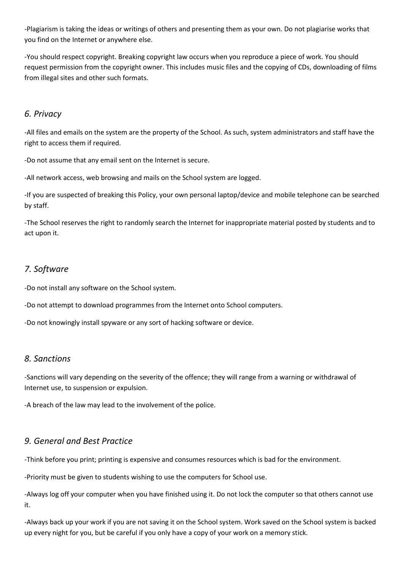-Plagiarism is taking the ideas or writings of others and presenting them as your own. Do not plagiarise works that you find on the Internet or anywhere else.

-You should respect copyright. Breaking copyright law occurs when you reproduce a piece of work. You should request permission from the copyright owner. This includes music files and the copying of CDs, downloading of films from illegal sites and other such formats.

### *6. Privacy*

-All files and emails on the system are the property of the School. As such, system administrators and staff have the right to access them if required.

-Do not assume that any email sent on the Internet is secure.

-All network access, web browsing and mails on the School system are logged.

-If you are suspected of breaking this Policy, your own personal laptop/device and mobile telephone can be searched by staff.

-The School reserves the right to randomly search the Internet for inappropriate material posted by students and to act upon it.

### *7. Software*

-Do not install any software on the School system.

-Do not attempt to download programmes from the Internet onto School computers.

-Do not knowingly install spyware or any sort of hacking software or device.

#### *8. Sanctions*

-Sanctions will vary depending on the severity of the offence; they will range from a warning or withdrawal of Internet use, to suspension or expulsion.

-A breach of the law may lead to the involvement of the police.

### *9. General and Best Practice*

-Think before you print; printing is expensive and consumes resources which is bad for the environment.

-Priority must be given to students wishing to use the computers for School use.

-Always log off your computer when you have finished using it. Do not lock the computer so that others cannot use it.

-Always back up your work if you are not saving it on the School system. Work saved on the School system is backed up every night for you, but be careful if you only have a copy of your work on a memory stick.